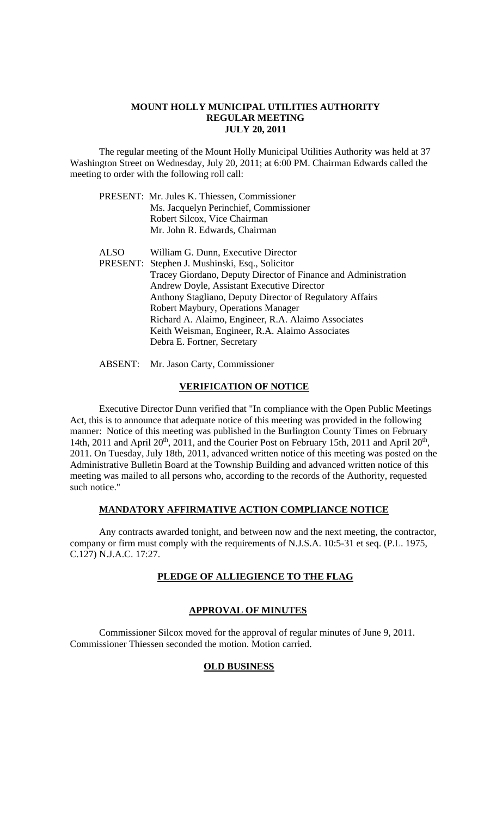### **MOUNT HOLLY MUNICIPAL UTILITIES AUTHORITY REGULAR MEETING JULY 20, 2011**

 The regular meeting of the Mount Holly Municipal Utilities Authority was held at 37 Washington Street on Wednesday, July 20, 2011; at 6:00 PM. Chairman Edwards called the meeting to order with the following roll call:

 ALSO William G. Dunn, Executive Director PRESENT: Stephen J. Mushinski, Esq., Solicitor Tracey Giordano, Deputy Director of Finance and Administration Andrew Doyle, Assistant Executive Director Anthony Stagliano, Deputy Director of Regulatory Affairs Robert Maybury, Operations Manager Richard A. Alaimo, Engineer, R.A. Alaimo Associates Keith Weisman, Engineer, R.A. Alaimo Associates Debra E. Fortner, Secretary

ABSENT: Mr. Jason Carty, Commissioner

### **VERIFICATION OF NOTICE**

 Executive Director Dunn verified that "In compliance with the Open Public Meetings Act, this is to announce that adequate notice of this meeting was provided in the following manner: Notice of this meeting was published in the Burlington County Times on February 14th, 2011 and April 20<sup>th</sup>, 2011, and the Courier Post on February 15th, 2011 and April 20<sup>th</sup>, 2011. On Tuesday, July 18th, 2011, advanced written notice of this meeting was posted on the Administrative Bulletin Board at the Township Building and advanced written notice of this meeting was mailed to all persons who, according to the records of the Authority, requested such notice."

### **MANDATORY AFFIRMATIVE ACTION COMPLIANCE NOTICE**

 Any contracts awarded tonight, and between now and the next meeting, the contractor, company or firm must comply with the requirements of N.J.S.A. 10:5-31 et seq. (P.L. 1975, C.127) N.J.A.C. 17:27.

## **PLEDGE OF ALLIEGIENCE TO THE FLAG**

## **APPROVAL OF MINUTES**

Commissioner Silcox moved for the approval of regular minutes of June 9, 2011. Commissioner Thiessen seconded the motion. Motion carried.

### **OLD BUSINESS**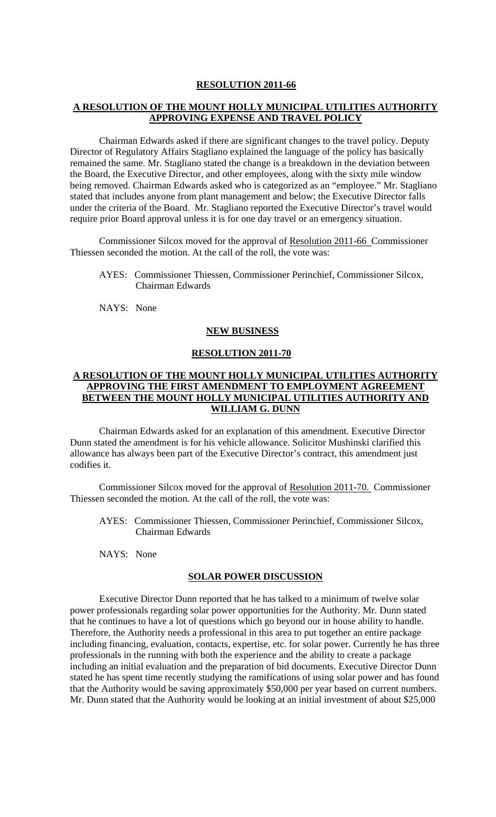#### **RESOLUTION 2011-66**

### **A RESOLUTION OF THE MOUNT HOLLY MUNICIPAL UTILITIES AUTHORITY APPROVING EXPENSE AND TRAVEL POLICY**

 Chairman Edwards asked if there are significant changes to the travel policy. Deputy Director of Regulatory Affairs Stagliano explained the language of the policy has basically remained the same. Mr. Stagliano stated the change is a breakdown in the deviation between the Board, the Executive Director, and other employees, along with the sixty mile window being removed. Chairman Edwards asked who is categorized as an "employee." Mr. Stagliano stated that includes anyone from plant management and below; the Executive Director falls under the criteria of the Board. Mr. Stagliano reported the Executive Director's travel would require prior Board approval unless it is for one day travel or an emergency situation.

Commissioner Silcox moved for the approval of Resolution 2011-66 Commissioner Thiessen seconded the motion. At the call of the roll, the vote was:

- AYES: Commissioner Thiessen, Commissioner Perinchief, Commissioner Silcox, Chairman Edwards
- NAYS: None

### **NEW BUSINESS**

### **RESOLUTION 2011-70**

## **A RESOLUTION OF THE MOUNT HOLLY MUNICIPAL UTILITIES AUTHORITY APPROVING THE FIRST AMENDMENT TO EMPLOYMENT AGREEMENT BETWEEN THE MOUNT HOLLY MUNICIPAL UTILITIES AUTHORITY AND WILLIAM G. DUNN**

 Chairman Edwards asked for an explanation of this amendment. Executive Director Dunn stated the amendment is for his vehicle allowance. Solicitor Mushinski clarified this allowance has always been part of the Executive Director's contract, this amendment just codifies it.

Commissioner Silcox moved for the approval of Resolution 2011-70. Commissioner Thiessen seconded the motion. At the call of the roll, the vote was:

AYES: Commissioner Thiessen, Commissioner Perinchief, Commissioner Silcox, Chairman Edwards

NAYS: None

### **SOLAR POWER DISCUSSION**

 Executive Director Dunn reported that he has talked to a minimum of twelve solar power professionals regarding solar power opportunities for the Authority. Mr. Dunn stated that he continues to have a lot of questions which go beyond our in house ability to handle. Therefore, the Authority needs a professional in this area to put together an entire package including financing, evaluation, contacts, expertise, etc. for solar power. Currently he has three professionals in the running with both the experience and the ability to create a package including an initial evaluation and the preparation of bid documents. Executive Director Dunn stated he has spent time recently studying the ramifications of using solar power and has found that the Authority would be saving approximately \$50,000 per year based on current numbers. Mr. Dunn stated that the Authority would be looking at an initial investment of about \$25,000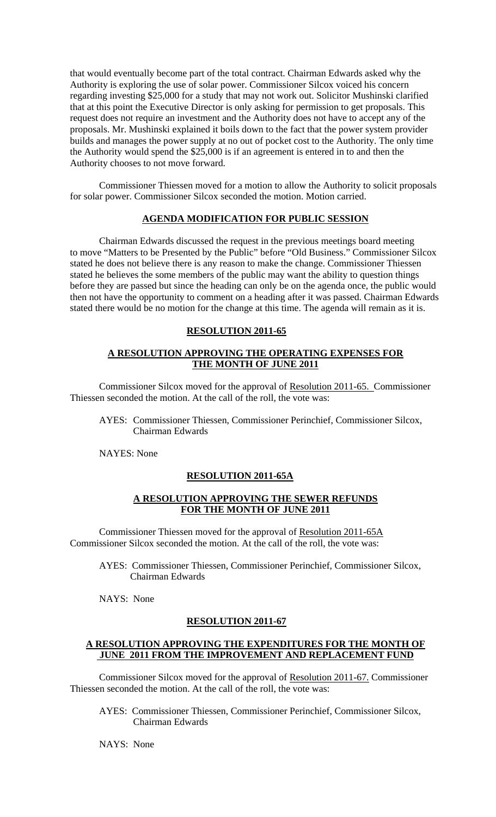that would eventually become part of the total contract. Chairman Edwards asked why the Authority is exploring the use of solar power. Commissioner Silcox voiced his concern regarding investing \$25,000 for a study that may not work out. Solicitor Mushinski clarified that at this point the Executive Director is only asking for permission to get proposals. This request does not require an investment and the Authority does not have to accept any of the proposals. Mr. Mushinski explained it boils down to the fact that the power system provider builds and manages the power supply at no out of pocket cost to the Authority. The only time the Authority would spend the \$25,000 is if an agreement is entered in to and then the Authority chooses to not move forward.

Commissioner Thiessen moved for a motion to allow the Authority to solicit proposals for solar power. Commissioner Silcox seconded the motion. Motion carried.

# **AGENDA MODIFICATION FOR PUBLIC SESSION**

Chairman Edwards discussed the request in the previous meetings board meeting to move "Matters to be Presented by the Public" before "Old Business." Commissioner Silcox stated he does not believe there is any reason to make the change. Commissioner Thiessen stated he believes the some members of the public may want the ability to question things before they are passed but since the heading can only be on the agenda once, the public would then not have the opportunity to comment on a heading after it was passed. Chairman Edwards stated there would be no motion for the change at this time. The agenda will remain as it is.

## **RESOLUTION 2011-65**

### **A RESOLUTION APPROVING THE OPERATING EXPENSES FOR THE MONTH OF JUNE 2011**

Commissioner Silcox moved for the approval of Resolution 2011-65. Commissioner Thiessen seconded the motion. At the call of the roll, the vote was:

 AYES: Commissioner Thiessen, Commissioner Perinchief, Commissioner Silcox, Chairman Edwards

NAYES: None

### **RESOLUTION 2011-65A**

### **A RESOLUTION APPROVING THE SEWER REFUNDS FOR THE MONTH OF JUNE 2011**

Commissioner Thiessen moved for the approval of Resolution 2011-65A Commissioner Silcox seconded the motion. At the call of the roll, the vote was:

AYES: Commissioner Thiessen, Commissioner Perinchief, Commissioner Silcox, Chairman Edwards

NAYS: None

### **RESOLUTION 2011-67**

### **A RESOLUTION APPROVING THE EXPENDITURES FOR THE MONTH OF JUNE 2011 FROM THE IMPROVEMENT AND REPLACEMENT FUND**

Commissioner Silcox moved for the approval of Resolution 2011-67. Commissioner Thiessen seconded the motion. At the call of the roll, the vote was:

AYES: Commissioner Thiessen, Commissioner Perinchief, Commissioner Silcox, Chairman Edwards

NAYS: None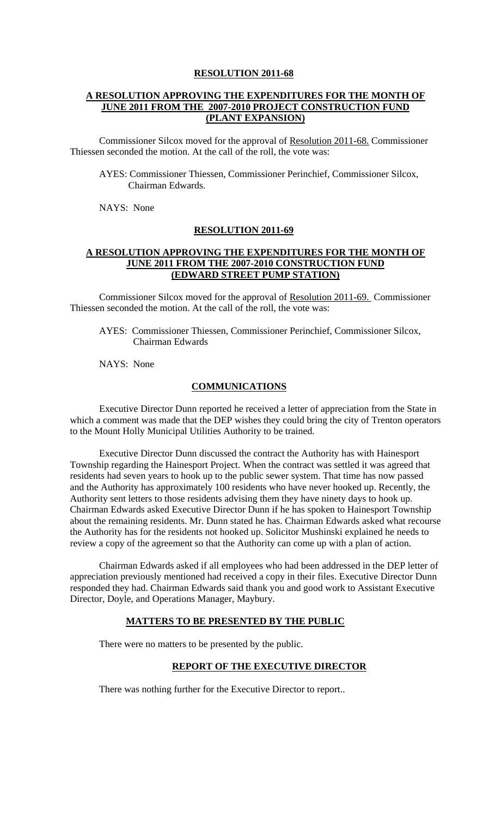### **RESOLUTION 2011-68**

## **A RESOLUTION APPROVING THE EXPENDITURES FOR THE MONTH OF JUNE 2011 FROM THE 2007-2010 PROJECT CONSTRUCTION FUND (PLANT EXPANSION)**

Commissioner Silcox moved for the approval of Resolution 2011-68. Commissioner Thiessen seconded the motion. At the call of the roll, the vote was:

AYES: Commissioner Thiessen, Commissioner Perinchief, Commissioner Silcox, Chairman Edwards.

NAYS: None

#### **RESOLUTION 2011-69**

### **A RESOLUTION APPROVING THE EXPENDITURES FOR THE MONTH OF JUNE 2011 FROM THE 2007-2010 CONSTRUCTION FUND (EDWARD STREET PUMP STATION)**

Commissioner Silcox moved for the approval of Resolution 2011-69. Commissioner Thiessen seconded the motion. At the call of the roll, the vote was:

AYES: Commissioner Thiessen, Commissioner Perinchief, Commissioner Silcox, Chairman Edwards

NAYS: None

### **COMMUNICATIONS**

 Executive Director Dunn reported he received a letter of appreciation from the State in which a comment was made that the DEP wishes they could bring the city of Trenton operators to the Mount Holly Municipal Utilities Authority to be trained.

 Executive Director Dunn discussed the contract the Authority has with Hainesport Township regarding the Hainesport Project. When the contract was settled it was agreed that residents had seven years to hook up to the public sewer system. That time has now passed and the Authority has approximately 100 residents who have never hooked up. Recently, the Authority sent letters to those residents advising them they have ninety days to hook up. Chairman Edwards asked Executive Director Dunn if he has spoken to Hainesport Township about the remaining residents. Mr. Dunn stated he has. Chairman Edwards asked what recourse the Authority has for the residents not hooked up. Solicitor Mushinski explained he needs to review a copy of the agreement so that the Authority can come up with a plan of action.

 Chairman Edwards asked if all employees who had been addressed in the DEP letter of appreciation previously mentioned had received a copy in their files. Executive Director Dunn responded they had. Chairman Edwards said thank you and good work to Assistant Executive Director, Doyle, and Operations Manager, Maybury.

## **MATTERS TO BE PRESENTED BY THE PUBLIC**

There were no matters to be presented by the public.

### **REPORT OF THE EXECUTIVE DIRECTOR**

There was nothing further for the Executive Director to report..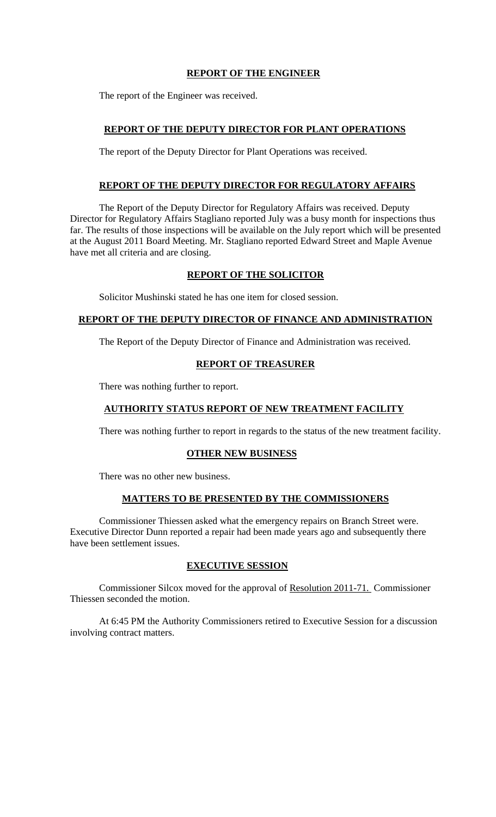# **REPORT OF THE ENGINEER**

The report of the Engineer was received.

# **REPORT OF THE DEPUTY DIRECTOR FOR PLANT OPERATIONS**

The report of the Deputy Director for Plant Operations was received.

## **REPORT OF THE DEPUTY DIRECTOR FOR REGULATORY AFFAIRS**

 The Report of the Deputy Director for Regulatory Affairs was received. Deputy Director for Regulatory Affairs Stagliano reported July was a busy month for inspections thus far. The results of those inspections will be available on the July report which will be presented at the August 2011 Board Meeting. Mr. Stagliano reported Edward Street and Maple Avenue have met all criteria and are closing.

## **REPORT OF THE SOLICITOR**

Solicitor Mushinski stated he has one item for closed session.

# **REPORT OF THE DEPUTY DIRECTOR OF FINANCE AND ADMINISTRATION**

The Report of the Deputy Director of Finance and Administration was received.

## **REPORT OF TREASURER**

There was nothing further to report.

# **AUTHORITY STATUS REPORT OF NEW TREATMENT FACILITY**

There was nothing further to report in regards to the status of the new treatment facility.

## **OTHER NEW BUSINESS**

There was no other new business.

## **MATTERS TO BE PRESENTED BY THE COMMISSIONERS**

 Commissioner Thiessen asked what the emergency repairs on Branch Street were. Executive Director Dunn reported a repair had been made years ago and subsequently there have been settlement issues.

# **EXECUTIVE SESSION**

 Commissioner Silcox moved for the approval of Resolution 2011-71. Commissioner Thiessen seconded the motion.

 At 6:45 PM the Authority Commissioners retired to Executive Session for a discussion involving contract matters.